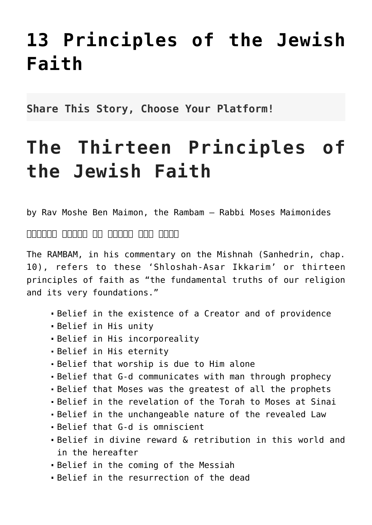## **[13 Principles of the Jewish](http://noahide.org/the-thirteen-principles-of-the-jewish-faith/) [Faith](http://noahide.org/the-thirteen-principles-of-the-jewish-faith/)**

**Share This Story, Choose Your Platform!**

## **The Thirteen Principles of the Jewish Faith**

by Rav Moshe Ben Maimon, the Rambam – Rabbi Moses Maimonides

שלשה עשר עקרים של אמונת היהודי

The RAMBAM, in his commentary on the Mishnah (Sanhedrin, chap. 10), refers to these 'Shloshah-Asar Ikkarim' or thirteen principles of faith as "the fundamental truths of our religion and its very foundations."

- Belief in the existence of a Creator and of providence
- Belief in His unity
- Belief in His incorporeality
- Belief in His eternity
- Belief that worship is due to Him alone
- Belief that G-d communicates with man through prophecy
- Belief that Moses was the greatest of all the prophets
- Belief in the revelation of the Torah to Moses at Sinai
- Belief in the unchangeable nature of the revealed Law
- Belief that G-d is omniscient
- Belief in divine reward & retribution in this world and in the hereafter
- Belief in the coming of the Messiah
- Belief in the resurrection of the dead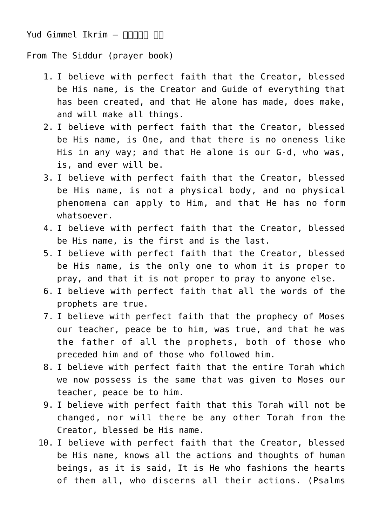## Yud Gimmel Ikrim – עקרים יג

From The Siddur (prayer book)

- 1. I believe with perfect faith that the Creator, blessed be His name, is the Creator and Guide of everything that has been created, and that He alone has made, does make, and will make all things.
- 2. I believe with perfect faith that the Creator, blessed be His name, is One, and that there is no oneness like His in any way; and that He alone is our G-d, who was, is, and ever will be.
- 3. I believe with perfect faith that the Creator, blessed be His name, is not a physical body, and no physical phenomena can apply to Him, and that He has no form whatsoever.
- 4. I believe with perfect faith that the Creator, blessed be His name, is the first and is the last.
- 5. I believe with perfect faith that the Creator, blessed be His name, is the only one to whom it is proper to pray, and that it is not proper to pray to anyone else.
- 6. I believe with perfect faith that all the words of the prophets are true.
- 7. I believe with perfect faith that the prophecy of Moses our teacher, peace be to him, was true, and that he was the father of all the prophets, both of those who preceded him and of those who followed him.
- 8. I believe with perfect faith that the entire Torah which we now possess is the same that was given to Moses our teacher, peace be to him.
- 9. I believe with perfect faith that this Torah will not be changed, nor will there be any other Torah from the Creator, blessed be His name.
- 10. I believe with perfect faith that the Creator, blessed be His name, knows all the actions and thoughts of human beings, as it is said, It is He who fashions the hearts of them all, who discerns all their actions. (Psalms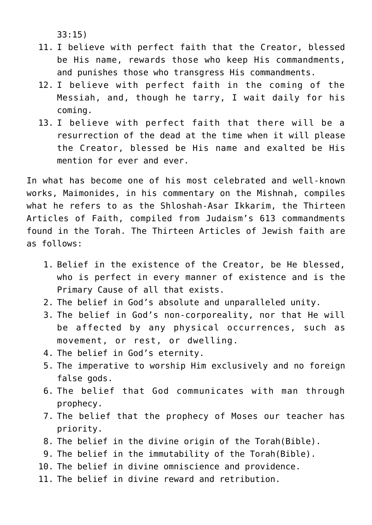33:15)

- 11. I believe with perfect faith that the Creator, blessed be His name, rewards those who keep His commandments, and punishes those who transgress His commandments.
- 12. I believe with perfect faith in the coming of the Messiah, and, though he tarry, I wait daily for his coming.
- 13. I believe with perfect faith that there will be a resurrection of the dead at the time when it will please the Creator, blessed be His name and exalted be His mention for ever and ever.

In what has become one of his most celebrated and well‑known works, Maimonides, in his commentary on the Mishnah, compiles what he refers to as the Shloshah-Asar Ikkarim, the Thirteen Articles of Faith, compiled from Judaism's 613 commandments found in the Torah. The Thirteen Articles of Jewish faith are as follows:

- 1. Belief in the existence of the Creator, be He blessed, who is perfect in every manner of existence and is the Primary Cause of all that exists.
- 2. The belief in God's absolute and unparalleled unity.
- 3. The belief in God's non-corporeality, nor that He will be affected by any physical occurrences, such as movement, or rest, or dwelling.
- 4. The belief in God's eternity.
- 5. The imperative to worship Him exclusively and no foreign false gods.
- 6. The belief that God communicates with man through prophecy.
- 7. The belief that the prophecy of Moses our teacher has priority.
- 8. The belief in the divine origin of the Torah(Bible).
- 9. The belief in the immutability of the Torah(Bible).
- 10. The belief in divine omniscience and providence.
- 11. The belief in divine reward and retribution.